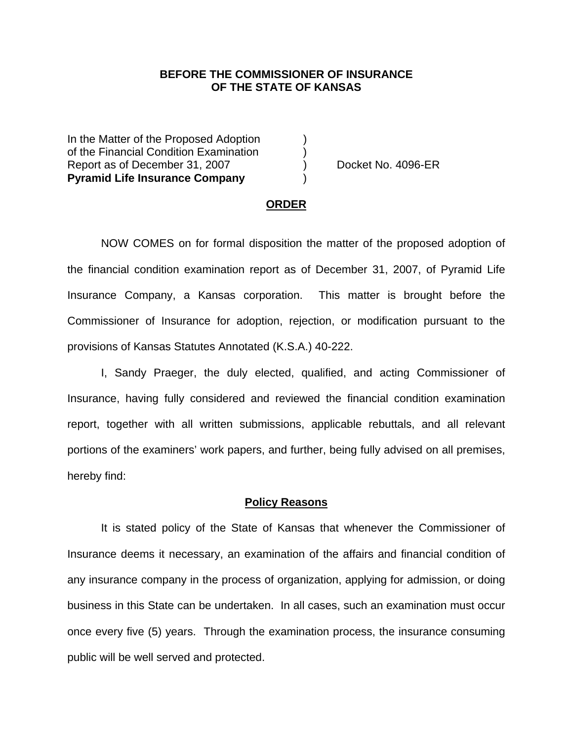## **BEFORE THE COMMISSIONER OF INSURANCE OF THE STATE OF KANSAS**

In the Matter of the Proposed Adoption of the Financial Condition Examination ) Report as of December 31, 2007 (and Separate No. 4096-ER **Pyramid Life Insurance Company** )

#### **ORDER**

 NOW COMES on for formal disposition the matter of the proposed adoption of the financial condition examination report as of December 31, 2007, of Pyramid Life Insurance Company, a Kansas corporation. This matter is brought before the Commissioner of Insurance for adoption, rejection, or modification pursuant to the provisions of Kansas Statutes Annotated (K.S.A.) 40-222.

 I, Sandy Praeger, the duly elected, qualified, and acting Commissioner of Insurance, having fully considered and reviewed the financial condition examination report, together with all written submissions, applicable rebuttals, and all relevant portions of the examiners' work papers, and further, being fully advised on all premises, hereby find:

#### **Policy Reasons**

 It is stated policy of the State of Kansas that whenever the Commissioner of Insurance deems it necessary, an examination of the affairs and financial condition of any insurance company in the process of organization, applying for admission, or doing business in this State can be undertaken. In all cases, such an examination must occur once every five (5) years. Through the examination process, the insurance consuming public will be well served and protected.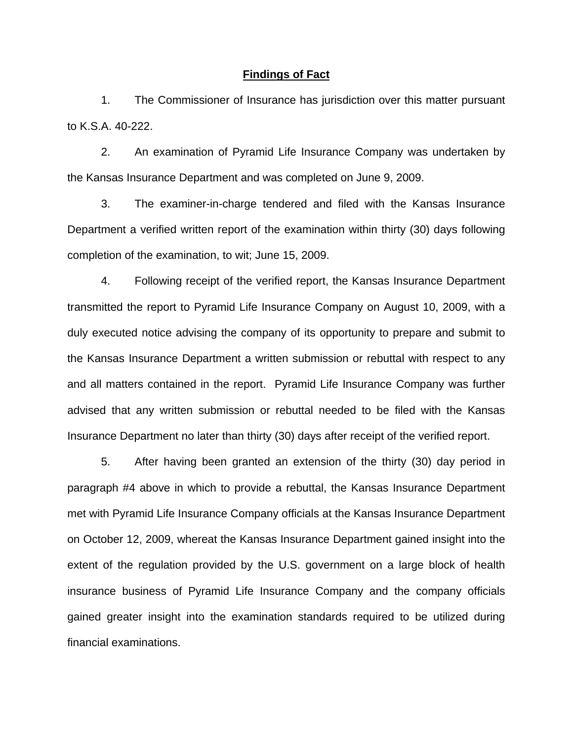### **Findings of Fact**

 1. The Commissioner of Insurance has jurisdiction over this matter pursuant to K.S.A. 40-222.

 2. An examination of Pyramid Life Insurance Company was undertaken by the Kansas Insurance Department and was completed on June 9, 2009.

 3. The examiner-in-charge tendered and filed with the Kansas Insurance Department a verified written report of the examination within thirty (30) days following completion of the examination, to wit; June 15, 2009.

 4. Following receipt of the verified report, the Kansas Insurance Department transmitted the report to Pyramid Life Insurance Company on August 10, 2009, with a duly executed notice advising the company of its opportunity to prepare and submit to the Kansas Insurance Department a written submission or rebuttal with respect to any and all matters contained in the report. Pyramid Life Insurance Company was further advised that any written submission or rebuttal needed to be filed with the Kansas Insurance Department no later than thirty (30) days after receipt of the verified report.

 5. After having been granted an extension of the thirty (30) day period in paragraph #4 above in which to provide a rebuttal, the Kansas Insurance Department met with Pyramid Life Insurance Company officials at the Kansas Insurance Department on October 12, 2009, whereat the Kansas Insurance Department gained insight into the extent of the regulation provided by the U.S. government on a large block of health insurance business of Pyramid Life Insurance Company and the company officials gained greater insight into the examination standards required to be utilized during financial examinations.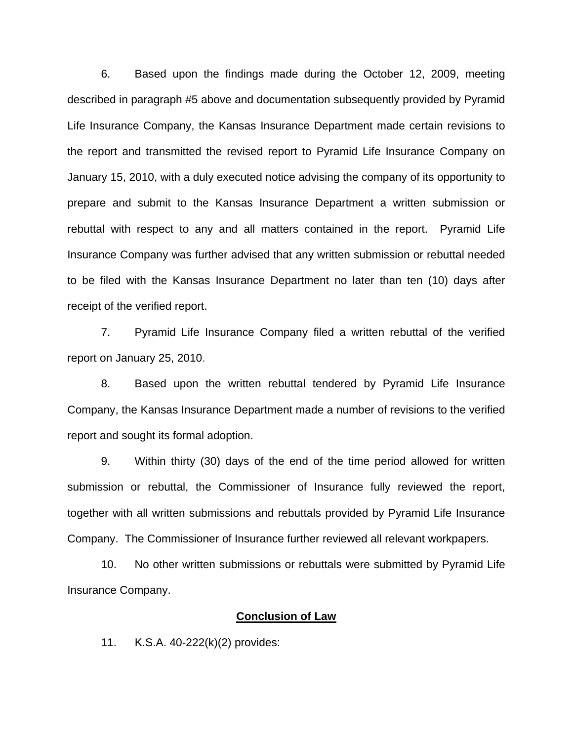6. Based upon the findings made during the October 12, 2009, meeting described in paragraph #5 above and documentation subsequently provided by Pyramid Life Insurance Company, the Kansas Insurance Department made certain revisions to the report and transmitted the revised report to Pyramid Life Insurance Company on January 15, 2010, with a duly executed notice advising the company of its opportunity to prepare and submit to the Kansas Insurance Department a written submission or rebuttal with respect to any and all matters contained in the report. Pyramid Life Insurance Company was further advised that any written submission or rebuttal needed to be filed with the Kansas Insurance Department no later than ten (10) days after receipt of the verified report.

 7. Pyramid Life Insurance Company filed a written rebuttal of the verified report on January 25, 2010.

8. Based upon the written rebuttal tendered by Pyramid Life Insurance Company, the Kansas Insurance Department made a number of revisions to the verified report and sought its formal adoption.

 9. Within thirty (30) days of the end of the time period allowed for written submission or rebuttal, the Commissioner of Insurance fully reviewed the report, together with all written submissions and rebuttals provided by Pyramid Life Insurance Company. The Commissioner of Insurance further reviewed all relevant workpapers.

 10. No other written submissions or rebuttals were submitted by Pyramid Life Insurance Company.

### **Conclusion of Law**

11. K.S.A. 40-222(k)(2) provides: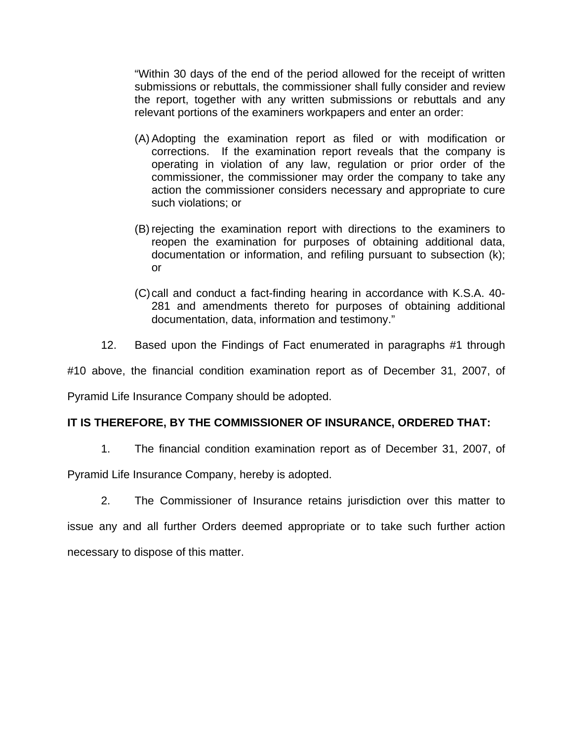"Within 30 days of the end of the period allowed for the receipt of written submissions or rebuttals, the commissioner shall fully consider and review the report, together with any written submissions or rebuttals and any relevant portions of the examiners workpapers and enter an order:

- (A) Adopting the examination report as filed or with modification or corrections. If the examination report reveals that the company is operating in violation of any law, regulation or prior order of the commissioner, the commissioner may order the company to take any action the commissioner considers necessary and appropriate to cure such violations; or
- (B) rejecting the examination report with directions to the examiners to reopen the examination for purposes of obtaining additional data, documentation or information, and refiling pursuant to subsection (k); or
- (C) call and conduct a fact-finding hearing in accordance with K.S.A. 40- 281 and amendments thereto for purposes of obtaining additional documentation, data, information and testimony."
- 12. Based upon the Findings of Fact enumerated in paragraphs #1 through

#10 above, the financial condition examination report as of December 31, 2007, of

Pyramid Life Insurance Company should be adopted.

# **IT IS THEREFORE, BY THE COMMISSIONER OF INSURANCE, ORDERED THAT:**

1. The financial condition examination report as of December 31, 2007, of

Pyramid Life Insurance Company, hereby is adopted.

2. The Commissioner of Insurance retains jurisdiction over this matter to

issue any and all further Orders deemed appropriate or to take such further action necessary to dispose of this matter.